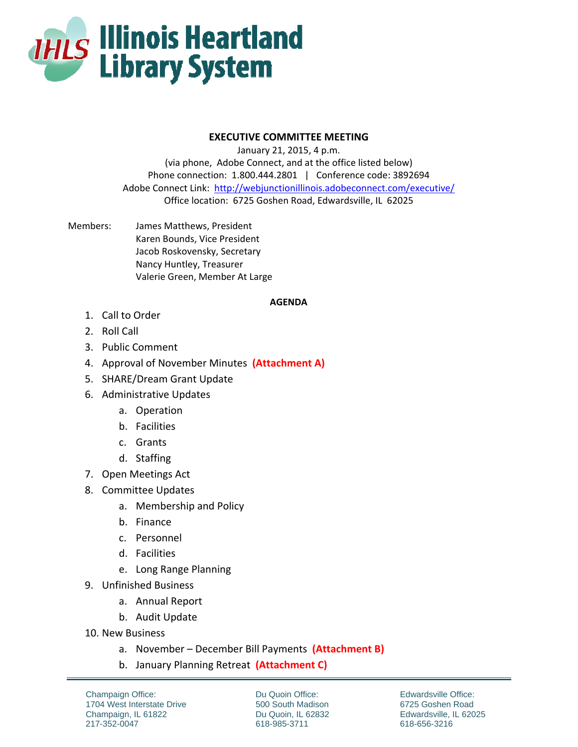

## **EXECUTIVE COMMITTEE MEETING**

January 21, 2015, 4 p.m. (via phone, Adobe Connect, and at the office listed below) Phone connection: 1.800.444.2801 | Conference code: 3892694 Adobe Connect Link: http://webjunctionillinois.adobeconnect.com/executive/ Office location: 6725 Goshen Road, Edwardsville, IL 62025

Members: James Matthews, President Karen Bounds, Vice President Jacob Roskovensky, Secretary Nancy Huntley, Treasurer Valerie Green, Member At Large

## **AGENDA**

- 1. Call to Order
- 2. Roll Call
- 3. Public Comment
- 4. Approval of November Minutes **(Attachment A)**
- 5. SHARE/Dream Grant Update
- 6. Administrative Updates
	- a. Operation
	- b. Facilities
	- c. Grants
	- d. Staffing
- 7. Open Meetings Act
- 8. Committee Updates
	- a. Membership and Policy
	- b. Finance
	- c. Personnel
	- d. Facilities
	- e. Long Range Planning
- 9. Unfinished Business
	- a. Annual Report
	- b. Audit Update
- 10. New Business
	- a. November December Bill Payments **(Attachment B)**
	- b. January Planning Retreat **(Attachment C)**

Champaign Office: 1704 West Interstate Drive Champaign, IL 61822 217-352-0047

Du Quoin Office: 500 South Madison Du Quoin, IL 62832 618-985-3711

Edwardsville Office: 6725 Goshen Road Edwardsville, IL 62025 618-656-3216